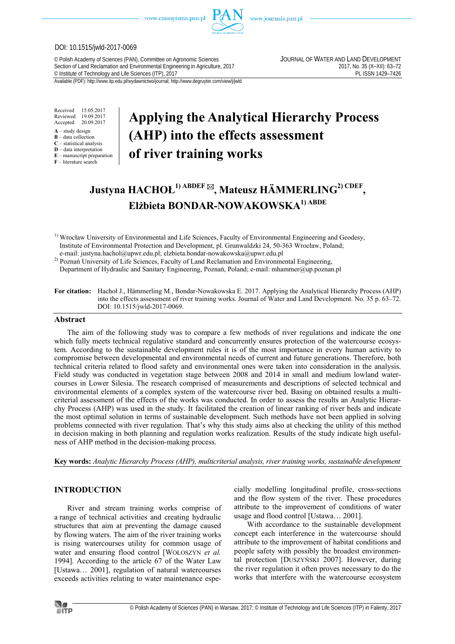

### DOI: 10.1515/jwld-2017-0069

© Polish Academy of Sciences (PAN), Committee on Agronomic Sciences JOURNAL OF WATER AND LAND DEVELOPMENT Section of Land Reclamation and Environmental Engineering in Agriculture, 2017<br>
© Institute of Technology and Life Sciences (ITP), 2017<br>
PL ISSN 1429-7426 <sup>©</sup> Institute of Technology and Life Sciences (ITP), 2017

Available (PDF): http://www.itp.edu.pl/wydawnictwo/journal; http://www.degruyter.com/view/j/jwld

Received 15.05.2017<br>Reviewed 19.09.2017 19.09.2017<br>20.09.2017 Accepted

- **A** study design
- **B** data collection **C** – statistical analysis
- **D** data interpretation
- **E** manuscript preparation
- **F** literature search

# **Applying the Analytical Hierarchy Process (AHP) into the effects assessment of river training works**

# **Justyna HACHOŁ1) ABDEF , Mateusz HÄMMERLING2) CDEF , Elżbieta BONDAR-NOWAKOWSKA1) ABDE**

<sup>1)</sup> Wrocław University of Environmental and Life Sciences, Faculty of Environmental Engineering and Geodesy, Institute of Environmental Protection and Development, pl. Grunwaldzki 24, 50-363 Wrocław, Poland; e-mail: justyna.hachol@upwr.edu.pl; elzbieta.bondar-nowakowska@upwr.edu.pl

<sup>2)</sup> Poznań University of Life Sciences, Faculty of Land Reclamation and Environmental Engineering,

Department of Hydraulic and Sanitary Engineering, Poznań, Poland; e-mail: mhammer@up.poznan.pl

**For citation:** Hachoł J., Hämmerling M., Bondar-Nowakowska E. 2017. Applying the Analytical Hierarchy Process (AHP) into the effects assessment of river training works. Journal of Water and Land Development. No. 35 p. 63–72. DOI: 10.1515/jwld-2017-0069.

# **Abstract**

The aim of the following study was to compare a few methods of river regulations and indicate the one which fully meets technical regulative standard and concurrently ensures protection of the watercourse ecosystem. According to the sustainable development rules it is of the most importance in every human activity to compromise between developmental and environmental needs of current and future generations. Therefore, both technical criteria related to flood safety and environmental ones were taken into consideration in the analysis. Field study was conducted in vegetation stage between 2008 and 2014 in small and medium lowland watercourses in Lower Silesia. The research comprised of measurements and descriptions of selected technical and environmental elements of a complex system of the watercourse river bed. Basing on obtained results a multicriterial assessment of the effects of the works was conducted. In order to assess the results an Analytic Hierarchy Process (AHP) was used in the study. It facilitated the creation of linear ranking of river beds and indicate the most optimal solution in terms of sustainable development. Such methods have not been applied in solving problems connected with river regulation. That's why this study aims also at checking the utility of this method in decision making in both planning and regulation works realization. Results of the study indicate high usefulness of AHP method in the decision-making process.

**Key words:** *Analytic Hierarchy Process (AHP), multicriterial analysis, river training works, sustainable development*

# **INTRODUCTION**

River and stream training works comprise of a range of technical activities and creating hydraulic structures that aim at preventing the damage caused by flowing waters. The aim of the river training works is rising watercourses utility for common usage of water and ensuring flood control [WOŁOSZYN *et al.* 1994]. According to the article 67 of the Water Law [Ustawa... 2001], regulation of natural watercourses exceeds activities relating to water maintenance especially modelling longitudinal profile, cross-sections and the flow system of the river. These procedures attribute to the improvement of conditions of water usage and flood control [Ustawa… 2001].

With accordance to the sustainable development concept each interference in the watercourse should attribute to the improvement of habitat conditions and people safety with possibly the broadest environmental protection [DUSZYŃSKI 2007]. However, during the river regulation it often proves necessary to do the works that interfere with the watercourse ecosystem

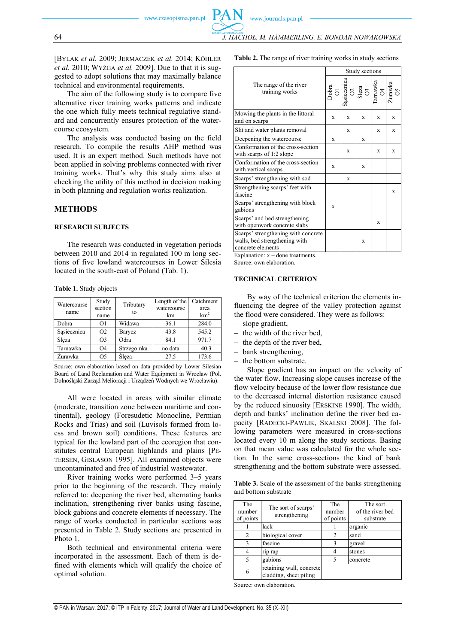[BYLAK *et al.* 2009; JERMACZEK *et al.* 2014; KÖHLER *et al.* 2010; WYŻGA *et al.* 2009]. Due to that it is suggested to adopt solutions that may maximally balance technical and environmental requirements.

The aim of the following study is to compare five alternative river training works patterns and indicate the one which fully meets technical regulative standard and concurrently ensures protection of the watercourse ecosystem.

The analysis was conducted basing on the field research. To compile the results AHP method was used. It is an expert method. Such methods have not been applied in solving problems connected with river training works. That's why this study aims also at checking the utility of this method in decision making in both planning and regulation works realization.

#### **METHODS**

#### **RESEARCH SUBJECTS**

The research was conducted in vegetation periods between 2010 and 2014 in regulated 100 m long sections of five lowland watercourses in Lower Silesia located in the south-east of Poland (Tab. 1).

| Table 1. Study objects |  |
|------------------------|--|
|------------------------|--|

| Watercourse<br>name | Study<br>section<br>name | Tributary<br>to | Length of the<br>watercourse<br>km | Catchment<br>area<br>km <sup>2</sup> |
|---------------------|--------------------------|-----------------|------------------------------------|--------------------------------------|
| Dobra               | O1                       | Widawa          | 36.1                               | 284.0                                |
| Sasiecznica         | O <sub>2</sub>           | Barycz          | 43.8                               | 545.2                                |
| Sleza               | O <sub>3</sub>           | Odra            | 84.1                               | 971.7                                |
| Tarnawka            | Ο4                       | Strzegomka      | no data                            | 40.3                                 |
| <b>Zurawka</b>      | O <sub>5</sub>           | Sleza           | 27.5                               | 173.6                                |

Source: own elaboration based on data provided by Lower Silesian Board of Land Reclamation and Water Equipment in Wrocław (Pol. Dolnośląski Zarząd Melioracji i Urządzeń Wodnych we Wrocławiu).

All were located in areas with similar climate (moderate, transition zone between maritime and continental), geology (Foresudetic Monocline, Permian Rocks and Trias) and soil (Luvisols formed from loess and brown soil) conditions. These features are typical for the lowland part of the ecoregion that constitutes central European highlands and plains [PE-TERSEN, GISLASON 1995]. All examined objects were uncontaminated and free of industrial wastewater.

River training works were performed 3–5 years prior to the beginning of the research. They mainly referred to: deepening the river bed, alternating banks inclination, strengthening river banks using fascine, block gabions and concrete elements if necessary. The range of works conducted in particular sections was presented in Table 2. Study sections are presented in Photo 1.

Both technical and environmental criteria were incorporated in the assessment. Each of them is defined with elements which will qualify the choice of optimal solution.

**Table 2.** The range of river training works in study sections

|                                                                                           |                      |                             | Study sections           |               |               |
|-------------------------------------------------------------------------------------------|----------------------|-----------------------------|--------------------------|---------------|---------------|
| The range of the river<br>training works                                                  | $\frac{1}{\sqrt{2}}$ | $rac{\text{zincznica}}{02}$ | $\frac{1}{\text{Sleza}}$ | $\frac{1}{2}$ | Żurawka<br>O5 |
| Mowing the plants in the littoral<br>and on scarps                                        | X                    | X                           | X                        | X             | X             |
| Slit and water plants removal                                                             |                      | X                           |                          | X             | X             |
| Deepening the watercourse                                                                 | X                    |                             | X                        |               |               |
| Conformation of the cross-section<br>with scarps of 1:2 slope                             |                      | X                           |                          | X             | $\mathbf x$   |
| Conformation of the cross-section<br>with vertical scarps                                 | X                    |                             | $\mathbf x$              |               |               |
| Scarps' strengthening with sod                                                            |                      | X                           |                          |               |               |
| Strengthening scarps' feet with<br>fascine                                                |                      |                             |                          |               | X             |
| Scarps' strengthening with block<br>gabions                                               | X                    |                             |                          |               |               |
| Scarps' and bed strengthening<br>with openwork concrete slabs                             |                      |                             |                          | X             |               |
| Scarps' strengthening with concrete<br>walls, bed strengthening with<br>concrete elements |                      |                             | X                        |               |               |

Explanation:  $x -$  done treatments.

Source: own elaboration.

#### **TECHNICAL CRITERION**

By way of the technical criterion the elements influencing the degree of the valley protection against the flood were considered. They were as follows:

- slope gradient,
- $-$  the width of the river bed,
- $-$  the depth of the river bed,
- bank strengthening,
- the bottom substrate.

Slope gradient has an impact on the velocity of the water flow. Increasing slope causes increase of the flow velocity because of the lower flow resistance due to the decreased internal distortion resistance caused by the reduced sinuosity [ERSKINE 1990]. The width, depth and banks' inclination define the river bed capacity [RADECKI-PAWLIK, SKALSKI 2008]. The following parameters were measured in cross-sections located every 10 m along the study sections. Basing on that mean value was calculated for the whole section. In the same cross-sections the kind of bank strengthening and the bottom substrate were assessed.

**Table 3.** Scale of the assessment of the banks strengthening and bottom substrate

| The<br>number<br>of points | The sort of scarps'<br>strengthening               | The<br>number<br>of points | The sort<br>of the river bed<br>substrate |
|----------------------------|----------------------------------------------------|----------------------------|-------------------------------------------|
|                            | lack                                               |                            | organic                                   |
| 2                          | biological cover                                   | 2                          | sand                                      |
| 3                          | fascine                                            | ٩                          | gravel                                    |
| 4                          | rip rap                                            |                            | stones                                    |
| 5                          | gabions                                            |                            | concrete                                  |
| 6                          | retaining wall, concrete<br>cladding, sheet piling |                            |                                           |

Source: own elaboration.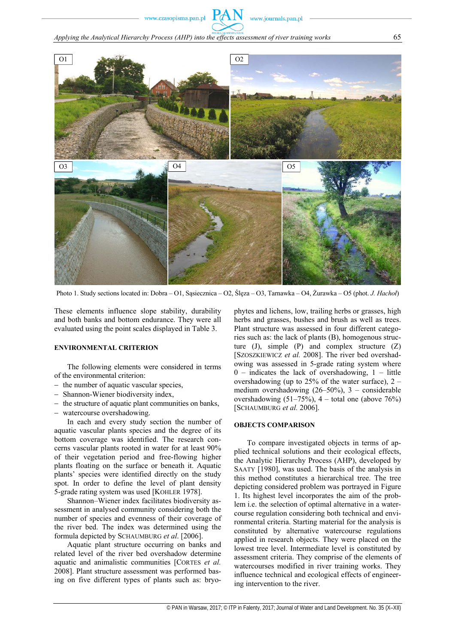www.journals.pan.pl



Photo 1. Study sections located in: Dobra – O1, Sąsiecznica – O2, Ślęza – O3, Tarnawka – O4, Żurawka – O5 (phot. *J. Hachoł*)

These elements influence slope stability, durability and both banks and bottom endurance. They were all evaluated using the point scales displayed in Table 3.

#### **ENVIRONMENTAL CRITERION**

The following elements were considered in terms of the environmental criterion:

- $-$  the number of aquatic vascular species,
- Shannon-Wiener biodiversity index,
- $-$  the structure of aquatic plant communities on banks,
- watercourse overshadowing.

In each and every study section the number of aquatic vascular plants species and the degree of its bottom coverage was identified. The research concerns vascular plants rooted in water for at least 90% of their vegetation period and free-flowing higher plants floating on the surface or beneath it. Aquatic plants' species were identified directly on the study spot. In order to define the level of plant density 5-grade rating system was used [KOHLER 1978].

Shannon–Wiener index facilitates biodiversity assessment in analysed community considering both the number of species and evenness of their coverage of the river bed. The index was determined using the formula depicted by SCHAUMBURG *et al*. [2006].

Aquatic plant structure occurring on banks and related level of the river bed overshadow determine aquatic and animalistic communities [CORTES *et al.* 2008]. Plant structure assessment was performed basing on five different types of plants such as: bryophytes and lichens, low, trailing herbs or grasses, high herbs and grasses, bushes and brush as well as trees. Plant structure was assessed in four different categories such as: the lack of plants (B), homogenous structure (J), simple (P) and complex structure (Z) [SZOSZKIEWICZ *et al.* 2008]. The river bed overshadowing was assessed in 5-grade rating system where  $0$  – indicates the lack of overshadowing,  $1$  – little overshadowing (up to  $25\%$  of the water surface),  $2$ medium overshadowing (26–50%), 3 – considerable overshadowing  $(51–75\%)$ , 4 – total one (above 76%) [SCHAUMBURG *et al.* 2006].

# **OBJECTS COMPARISON**

To compare investigated objects in terms of applied technical solutions and their ecological effects, the Analytic Hierarchy Process (AHP), developed by SAATY [1980], was used. The basis of the analysis in this method constitutes a hierarchical tree. The tree depicting considered problem was portrayed in Figure 1. Its highest level incorporates the aim of the problem i.e. the selection of optimal alternative in a watercourse regulation considering both technical and environmental criteria. Starting material for the analysis is constituted by alternative watercourse regulations applied in research objects. They were placed on the lowest tree level. Intermediate level is constituted by assessment criteria. They comprise of the elements of watercourses modified in river training works. They influence technical and ecological effects of engineering intervention to the river.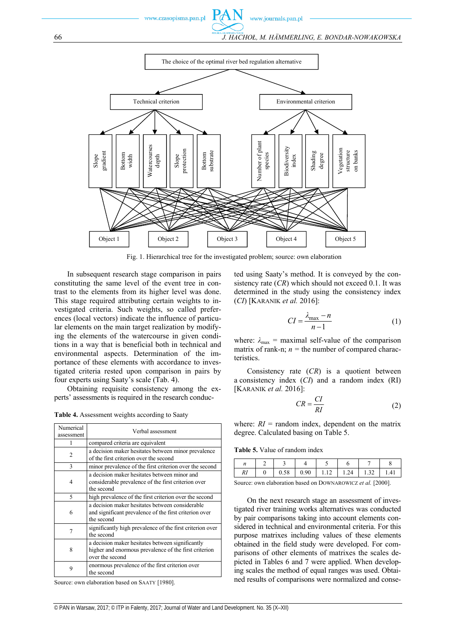

Fig. 1. Hierarchical tree for the investigated problem; source: own elaboration

In subsequent research stage comparison in pairs constituting the same level of the event tree in contrast to the elements from its higher level was done. This stage required attributing certain weights to investigated criteria. Such weights, so called preferences (local vectors) indicate the influence of particular elements on the main target realization by modifying the elements of the watercourse in given conditions in a way that is beneficial both in technical and environmental aspects. Determination of the importance of these elements with accordance to investigated criteria rested upon comparison in pairs by four experts using Saaty's scale (Tab. 4).

Obtaining requisite consistency among the experts' assessments is required in the research conduc-

**Table 4.** Assessment weights according to Saaty

| Numerical<br>assessment | Verbal assessment                                                                                                            |
|-------------------------|------------------------------------------------------------------------------------------------------------------------------|
|                         | compared criteria are equivalent                                                                                             |
| 2                       | a decision maker hesitates between minor prevalence<br>of the first criterion over the second                                |
| $\mathbf{3}$            | minor prevalence of the first criterion over the second                                                                      |
| 4                       | a decision maker hesitates between minor and<br>considerable prevalence of the first criterion over<br>the second            |
| 5                       | high prevalence of the first criterion over the second                                                                       |
| 6                       | a decision maker hesitates between considerable<br>and significant prevalence of the first criterion over<br>the second      |
| 7                       | significantly high prevalence of the first criterion over<br>the second                                                      |
| 8                       | a decision maker hesitates between significantly<br>higher and enormous prevalence of the first criterion<br>over the second |
| 9                       | enormous prevalence of the first criterion over<br>the second                                                                |

Source: own elaboration based on SAATY [1980].

ted using Saaty's method. It is conveyed by the consistency rate (*CR*) which should not exceed 0.1. It was determined in the study using the consistency index (*CI*) [KARANIK *et al.* 2016]:

$$
CI = \frac{\lambda_{\text{max}} - n}{n - 1} \tag{1}
$$

where:  $\lambda_{\text{max}}$  = maximal self-value of the comparison matrix of rank-n;  $n =$  the number of compared characteristics.

Consistency rate (*CR*) is a quotient between a consistency index (*CI*) and a random index (RI) [KARANIK *et al.* 2016]:

$$
CR = \frac{CI}{RI} \tag{2}
$$

where:  $RI =$  random index, dependent on the matrix degree. Calculated basing on Table 5.

**Table 5.** Value of random index

| 1 U | 0.58 | 0.90 | $-1.12$ | 1.24 | .32 | 1.41 |
|-----|------|------|---------|------|-----|------|

Source: own elaboration based on DOWNAROWICZ *et al.* [2000].

On the next research stage an assessment of investigated river training works alternatives was conducted by pair comparisons taking into account elements considered in technical and environmental criteria. For this purpose matrixes including values of these elements obtained in the field study were developed. For comparisons of other elements of matrixes the scales depicted in Tables 6 and 7 were applied. When developing scales the method of equal ranges was used. Obtained results of comparisons were normalized and conse-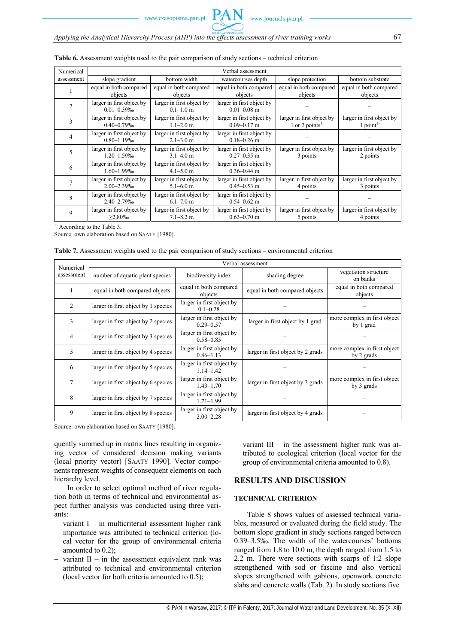| Numerical     | Verbal assessment                            |                                            |                                              |                                                          |                                                      |  |  |
|---------------|----------------------------------------------|--------------------------------------------|----------------------------------------------|----------------------------------------------------------|------------------------------------------------------|--|--|
| assessment    | slope gradient                               | bottom width                               | watercourses depth                           | slope protection                                         | bottom substrate                                     |  |  |
|               | equal in both compared<br>objects            | equal in both compared<br>objects          | equal in both compared<br>objects            | equal in both compared<br>objects                        | equal in both compared<br>objects                    |  |  |
| $\mathcal{D}$ | larger in first object by<br>$0.01 - 0.39\%$ | larger in first object by<br>$0.1 - 1.0$ m | larger in first object by<br>$0.01 - 0.08$ m |                                                          |                                                      |  |  |
|               | larger in first object by<br>$0.40 - 0.79%$  | larger in first object by<br>$1.1 - 2.0$ m | larger in first object by<br>$0.09 - 0.17$ m | larger in first object by<br>1 or 2 points <sup>1)</sup> | larger in first object by<br>$1$ point <sup>1)</sup> |  |  |
| 4             | larger in first object by<br>$0.80 - 1.19%$  | larger in first object by<br>$2.1 - 3.0$ m | larger in first object by<br>$0.18 - 0.26$ m |                                                          |                                                      |  |  |
|               | larger in first object by<br>$1.20 - 1.59\%$ | larger in first object by<br>$3.1 - 4.0$ m | larger in first object by<br>$0.27 - 0.35$ m | larger in first object by<br>3 points                    | larger in first object by<br>2 points                |  |  |
| 6             | larger in first object by<br>$1.60 - 1.99\%$ | larger in first object by<br>$4.1 - 5.0$ m | larger in first object by<br>$0.36 - 0.44$ m |                                                          |                                                      |  |  |
|               | larger in first object by<br>$2.00 - 2.39\%$ | larger in first object by<br>$5.1 - 6.0$ m | larger in first object by<br>$0.45 - 0.53$ m | larger in first object by<br>4 points                    | larger in first object by<br>3 points                |  |  |
| 8             | larger in first object by<br>2.40-2.79%      | larger in first object by<br>$6.1 - 7.0$ m | larger in first object by<br>$0.54 - 0.62$ m |                                                          |                                                      |  |  |
| 9             | larger in first object by<br>$>2.80\%$       | larger in first object by<br>$7.1 - 8.2$ m | larger in first object by<br>$0.63 - 0.70$ m | larger in first object by<br>5 points                    | larger in first object by<br>4 points                |  |  |

# **Table 6.** Assessment weights used to the pair comparison of study sections – technical criterion

<sup>1)</sup> According to the Table 3.

Source: own elaboration based on SAATY [1980].

|  |  |  | <b>Table 7.</b> Assessment weights used to the pair comparison of study sections – environmental criterion |  |
|--|--|--|------------------------------------------------------------------------------------------------------------|--|
|  |  |  |                                                                                                            |  |

| Numerical      | Verbal assessment                   |                                            |                                   |                                            |  |  |  |  |
|----------------|-------------------------------------|--------------------------------------------|-----------------------------------|--------------------------------------------|--|--|--|--|
| assessment     | number of aquatic plant species     | biodiversity index                         | shading degree                    | vegetation structure<br>on banks           |  |  |  |  |
|                | equal in both compared objects      | equal in both compared<br>objects          | equal in both compared objects    |                                            |  |  |  |  |
| $\overline{2}$ | larger in first object by 1 species | larger in first object by<br>$0.1 - 0.28$  |                                   |                                            |  |  |  |  |
| 3              | larger in first object by 2 species | larger in first object by<br>$0.29 - 0.57$ | larger in first object by 1 grad  | more complex in first object<br>by 1 grad  |  |  |  |  |
| 4              | larger in first object by 3 species | larger in first object by<br>$0.58 - 0.85$ |                                   |                                            |  |  |  |  |
| 5              | larger in first object by 4 species | larger in first object by<br>$0.86 - 1.13$ | larger in first object by 2 grads | more complex in first object<br>by 2 grads |  |  |  |  |
| 6              | larger in first object by 5 species | larger in first object by<br>$1.14 - 1.42$ |                                   |                                            |  |  |  |  |
| 7              | larger in first object by 6 species | larger in first object by<br>$1.43 - 1.70$ | larger in first object by 3 grads | more complex in first object<br>by 3 grads |  |  |  |  |
| 8              | larger in first object by 7 species | larger in first object by<br>$1.71 - 1.99$ |                                   |                                            |  |  |  |  |
| 9              | larger in first object by 8 species | larger in first object by<br>$2.00 - 2.28$ | larger in first object by 4 grads |                                            |  |  |  |  |

Source: own elaboration based on SAATY [1980].

quently summed up in matrix lines resulting in organizing vector of considered decision making variants (local priority vector) [SAATY 1990]. Vector components represent weights of consequent elements on each hierarchy level.

In order to select optimal method of river regulation both in terms of technical and environmental aspect further analysis was conducted using three variants:

- variant I in multicriterial assessment higher rank importance was attributed to technical criterion (local vector for the group of environmental criteria amounted to 0.2);
- variant  $II$  in the assessment equivalent rank was attributed to technical and environmental criterion (local vector for both criteria amounted to 0.5);

- variant  $III$  – in the assessment higher rank was attributed to ecological criterion (local vector for the group of environmental criteria amounted to 0.8).

# **RESULTS AND DISCUSSION**

# **TECHNICAL CRITERION**

Table 8 shows values of assessed technical variables, measured or evaluated during the field study. The bottom slope gradient in study sections ranged between 0.39–3.5‰. The width of the watercourses' bottoms ranged from 1.8 to 10.0 m, the depth ranged from 1.5 to 2.2 m. There were sections with scarps of 1:2 slope strengthened with sod or fascine and also vertical slopes strengthened with gabions, openwork concrete slabs and concrete walls (Tab. 2). In study sections five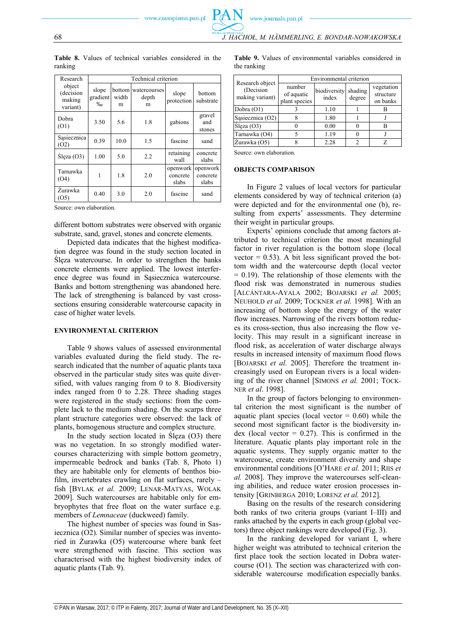www.journals.pan.pl

| Research                                  | Technical criterion                    |                      |                            |                               |                               |  |
|-------------------------------------------|----------------------------------------|----------------------|----------------------------|-------------------------------|-------------------------------|--|
| object<br>(decision<br>making<br>variant) | slope<br>gradient<br>$\%$ <sub>0</sub> | bottom<br>width<br>m | watercourses<br>depth<br>m | slope<br>protection           | bottom<br>substrate           |  |
| Dobra<br>(01)                             | 3.50                                   | 5.6                  | 1.8                        | gabions                       | gravel<br>and<br>stones       |  |
| Sąsiecznica<br>(O2)                       | 0.39                                   | 10.0                 | 1.5                        | fascine                       | sand                          |  |
| Slega (O3)                                | 1.00                                   | 5.0                  | 2.2                        | retaining<br>wall             | concrete<br>slabs             |  |
| Tarnawka<br>(O4)                          | 1                                      | 1.8                  | 2.0                        | openwork<br>concrete<br>slabs | openwork<br>concrete<br>slabs |  |
| Žurawka<br>(O5)                           | 0.40                                   | 3.0                  | 2.0                        | fascine                       | sand                          |  |

**Table 8.** Values of technical variables considered in the ranking

Source: own elaboration.

different bottom substrates were observed with organic substrate, sand, gravel, stones and concrete elements.

Depicted data indicates that the highest modification degree was found in the study section located in Ślęza watercourse. In order to strengthen the banks concrete elements were applied. The lowest interference degree was found in Sąsiecznica watercourse. Banks and bottom strengthening was abandoned here. The lack of strengthening is balanced by vast crosssections ensuring considerable watercourse capacity in case of higher water levels.

# **ENVIRONMENTAL CRITERION**

Table 9 shows values of assessed environmental variables evaluated during the field study. The research indicated that the number of aquatic plants taxa observed in the particular study sites was quite diversified, with values ranging from 0 to 8. Biodiversity index ranged from 0 to 2.28. Three shading stages were registered in the study sections: from the complete lack to the medium shading. On the scarps three plant structure categories were observed: the lack of plants, homogenous structure and complex structure.

In the study section located in Ślęza (O3) there was no vegetation. In so strongly modified watercourses characterizing with simple bottom geometry, impermeable bedrock and banks (Tab. 8, Photo 1) they are habitable only for elements of benthos biofilm, invertebrates crawling on flat surfaces, rarely – fish [BYLAK *et al.* 2009; LENAR-MATYAS, WOLAK 2009]. Such watercourses are habitable only for embryophytes that free float on the water surface e.g. members of *Lemnaceae* (duckweed) family.

The highest number of species was found in Sasiecznica (O2). Similar number of species was inventoried in Żurawka (O5) watercourse where bank feet were strengthened with fascine. This section was characterised with the highest biodiversity index of aquatic plants (Tab. 9).

**Table 9.** Values of environmental variables considered in the ranking

| Research object               | Environmental criterion               |                       |                   |                                     |  |  |
|-------------------------------|---------------------------------------|-----------------------|-------------------|-------------------------------------|--|--|
| (Decision)<br>making variant) | number<br>of aquatic<br>plant species | biodiversity<br>index | shading<br>degree | vegetation<br>structure<br>on banks |  |  |
| Dobra $(O1)$                  |                                       | 1.10                  |                   |                                     |  |  |
| Sasiecznica (O2)              |                                       | 1.80                  |                   |                                     |  |  |
| Ślęza (O3)                    |                                       | 0.00                  |                   |                                     |  |  |
| Tarnawka (O4)                 |                                       | 1.19                  |                   |                                     |  |  |
| Żurawka (O5)                  |                                       | 2.28                  |                   |                                     |  |  |

Source: own elaboration.

#### **OBJECTS COMPARISON**

In Figure 2 values of local vectors for particular elements considered by way of technical criterion (a) were depicted and for the environmental one (b), resulting from experts' assessments. They determine their weight in particular groups.

Experts' opinions conclude that among factors attributed to technical criterion the most meaningful factor in river regulation is the bottom slope (local vector  $= 0.53$ ). A bit less significant proved the bottom width and the watercourse depth (local vector  $= 0.19$ ). The relationship of those elements with the flood risk was demonstrated in numerous studies [ALCÁNTARA-AYALA 2002; BOJARSKI *et al.* 2005; NEUHOLD *et al.* 2009; TOCKNER *et al.* 1998]. With an increasing of bottom slope the energy of the water flow increases. Narrowing of the rivers bottom reduces its cross-section, thus also increasing the flow velocity. This may result in a significant increase in flood risk, as acceleration of water discharge always results in increased intensity of maximum flood flows [BOJARSKI *et al.* 2005]. Therefore the treatment increasingly used on European rivers is a local widening of the river channel [SIMONS *et al.* 2001; TOCK-NER *et al*. 1998].

In the group of factors belonging to environmental criterion the most significant is the number of aquatic plant species (local vector  $= 0.60$ ) while the second most significant factor is the biodiversity index (local vector  $= 0.27$ ). This is confirmed in the literature. Aquatic plants play important role in the aquatic systems. They supply organic matter to the watercourse, create environment diversity and shape environmental conditions [O'HARE *et al.* 2011; RIIS *et al.* 2008]. They improve the watercourses self-cleaning abilities, and reduce water erosion processes intensity [GRINBERGA 2010; LORENZ *et al.* 2012].

Basing on the results of the research considering both ranks of two criteria groups (variant I–III) and ranks attached by the experts in each group (global vectors) three object rankings were developed (Fig. 3).

In the ranking developed for variant I, where higher weight was attributed to technical criterion the first place took the section located in Dobra watercourse (O1). The section was characterized with considerable watercourse modification especially banks.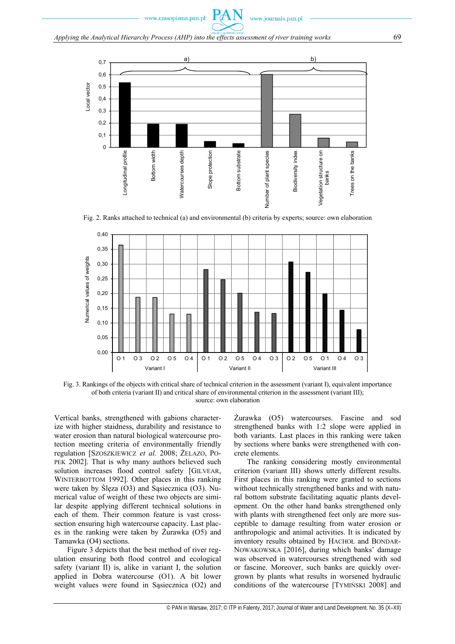

Fig. 2. Ranks attached to technical (a) and environmental (b) criteria by experts; source: own elaboration



Fig. 3. Rankings of the objects with critical share of technical criterion in the assessment (variant I), equivalent importance of both criteria (variant II) and critical share of environmental criterion in the assessment (variant III); source: own elaboration

Vertical banks, strengthened with gabions characterize with higher staidness, durability and resistance to water erosion than natural biological watercourse protection meeting criteria of environmentally friendly regulation [SZOSZKIEWICZ *et al.* 2008; ŻELAZO, PO-PEK 2002]. That is why many authors believed such solution increases flood control safety [GILVEAR, WINTERBOTTOM 1992]. Other places in this ranking were taken by Ślęza (O3) and Sąsiecznica (O3). Numerical value of weight of these two objects are similar despite applying different technical solutions in each of them. Their common feature is vast crosssection ensuring high watercourse capacity. Last places in the ranking were taken by Żurawka (O5) and Tarnawka (O4) sections.

Figure 3 depicts that the best method of river regulation ensuring both flood control and ecological safety (variant II) is, alike in variant I, the solution applied in Dobra watercourse (O1). A bit lower weight values were found in Sąsiecznica (O2) and Żurawka (O5) watercourses. Fascine and sod strengthened banks with 1:2 slope were applied in both variants. Last places in this ranking were taken by sections where banks were strengthened with concrete elements.

The ranking considering mostly environmental criterion (variant III) shows utterly different results. First places in this ranking were granted to sections without technically strengthened banks and with natural bottom substrate facilitating aquatic plants development. On the other hand banks strengthened only with plants with strengthened feet only are more susceptible to damage resulting from water erosion or anthropologic and animal activities. It is indicated by inventory results obtained by HACHOŁ and BONDAR-NOWAKOWSKA [2016], during which banks' damage was observed in watercourses strengthened with sod or fascine. Moreover, such banks are quickly overgrown by plants what results in worsened hydraulic conditions of the watercourse [TYMIŃSKI 2008] and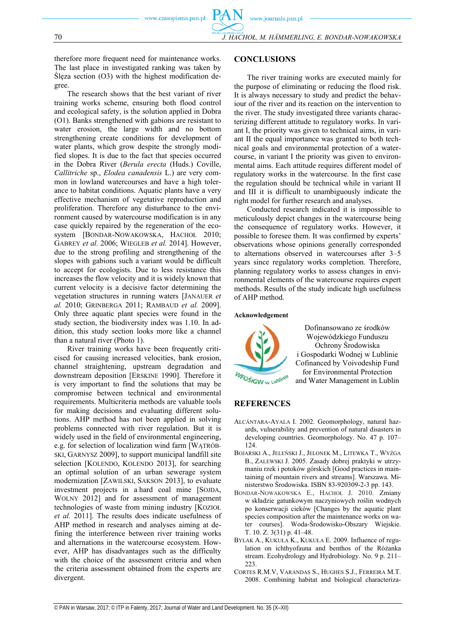70 *J. HACHOŁ, M. HÄMMERLING, E. BONDAR-NOWAKOWSKA*

therefore more frequent need for maintenance works. The last place in investigated ranking was taken by Ślęza section (O3) with the highest modification degree.

The research shows that the best variant of river training works scheme, ensuring both flood control and ecological safety, is the solution applied in Dobra (O1). Banks strengthened with gabions are resistant to water erosion, the large width and no bottom strengthening create conditions for development of water plants, which grow despite the strongly modified slopes. It is due to the fact that species occurred in the Dobra River (*Berula erecta* (Huds.) Coville, *Callitriche* sp., *Elodea canadensis* L.) are very common in lowland watercourses and have a high tolerance to habitat conditions. Aquatic plants have a very effective mechanism of vegetative reproduction and proliferation. Therefore any disturbance to the environment caused by watercourse modification is in any case quickly repaired by the regeneration of the ecosystem [BONDAR-NOWAKOWSKA, HACHOŁ 2010; GABREY *et al.* 2006; WIEGLEB *et al.* 2014]. However, due to the strong profiling and strengthening of the slopes with gabions such a variant would be difficult to accept for ecologists. Due to less resistance this increases the flow velocity and it is widely known that current velocity is a decisive factor determining the vegetation structures in running waters [JANAUER *et al.* 2010; GRINBERGA 2011; RAMBAUD *et al.* 2009]. Only three aquatic plant species were found in the study section, the biodiversity index was 1.10. In addition, this study section looks more like a channel than a natural river (Photo 1).

River training works have been frequently criticised for causing increased velocities, bank erosion, channel straightening, upstream degradation and downstream deposition [ERSKINE 1990]. Therefore it is very important to find the solutions that may be compromise between technical and environmental requirements. Multicriteria methods are valuable tools for making decisions and evaluating different solutions. AHP method has not been applied in solving problems connected with river regulation. But it is widely used in the field of environmental engineering, e.g. for selection of localization wind farm [WĄTRÓB-SKI, GARNYSZ 2009], to support municipal landfill site selection [KOLENDO, KOLENDO 2013], for searching an optimal solution of an urban sewerage system modernization [ZAWILSKI, SAKSON 2013], to evaluate investment projects in a hard coal mine [SOJDA, WOLNY 2012] and for assessment of management technologies of waste from mining industry [KOZIOŁ *et al.* 2011]. The results does indicate usefulness of AHP method in research and analyses aiming at defining the interference between river training works and alternations in the watercourse ecosystem. However, AHP has disadvantages such as the difficulty with the choice of the assessment criteria and when the criteria assessment obtained from the experts are divergent.

### **CONCLUSIONS**

The river training works are executed mainly for the purpose of eliminating or reducing the flood risk. It is always necessary to study and predict the behaviour of the river and its reaction on the intervention to the river. The study investigated three variants characterizing different attitude to regulatory works. In variant I, the priority was given to technical aims, in variant II the equal importance was granted to both technical goals and environmental protection of a watercourse, in variant I the priority was given to environmental aims. Each attitude requires different model of regulatory works in the watercourse. In the first case the regulation should be technical while in variant II and III it is difficult to unambiguously indicate the right model for further research and analyses.

Conducted research indicated it is impossible to meticulously depict changes in the watercourse being the consequence of regulatory works. However, it possible to foresee them. It was confirmed by experts' observations whose opinions generally corresponded to alternations observed in watercourses after 3–5 years since regulatory works completion. Therefore, planning regulatory works to assess changes in environmental elements of the watercourse requires expert methods. Results of the study indicate high usefulness of AHP method.

#### **Acknowledgement**



Dofinansowano ze środków Wojewódzkiego Funduszu Ochrony Środowiska i Gospodarki Wodnej w Lublinie Cofinanced by Voivodeship Fund for Environmental Protection and Water Management in Lublin

# **REFERENCES**

- ALCÁNTARA-AYALA I. 2002. Geomorphology, natural hazards, vulnerability and prevention of natural disasters in developing countries. Geomorphology. No. 47 p. 107– 124.
- BOJARSKI A., JELEŃSKI J., JELONEK M., LITEWKA T., WYŻGA B., ZALEWSKI J. 2005. Zasady dobrej praktyki w utrzymaniu rzek i potoków górskich [Good practices in maintaining of mountain rivers and streams]. Warszawa. Ministerstwo Środowiska. ISBN 83-920309-2-3 pp. 143.
- BONDAR-NOWAKOWSKA E., HACHOŁ J. 2010. Zmiany w składzie gatunkowym naczyniowych roślin wodnych po konserwacji cieków [Changes by the aquatic plant species composition after the maintenance works on water courses]. Woda-Środowisko-Obszary Wiejskie. T. 10. Z. 3(31) p. 41–48.
- BYLAK A., KUKUŁA K., KUKUŁA E. 2009. Influence of regulation on ichthyofauna and benthos of the Różanka stream. Ecohydrology and Hydrobiology. No. 9 p. 211– 223.
- CORTES R.M.V, VARANDAS S., HUGHES S.J., FERREIRA M.T. 2008. Combining habitat and biological characteriza-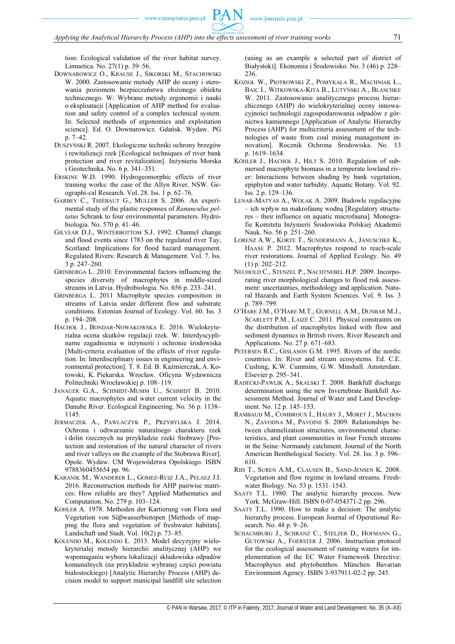tion: Ecological validation of the river habitat survey. Limnetica. No. 27(1) p. 39–56.

- DOWNAROWICZ O., KRAUSE J., SIKORSKI M., STACHOWSKI W. 2000. Zastosowanie metody AHP do oceny i sterowania poziomem bezpieczeństwa złożonego obiektu technicznego. W: Wybrane metody ergonomii i nauki o eksploatacji [Application of AHP method for evaluation and safety control of a complex technical system. In: Selected methods of ergonomics and exploitation science]. Ed. O. Downarowicz. Gdańsk. Wydaw. PG p. 7–42.
- DUSZYŃSKI R. 2007. Ekologiczne techniki ochrony brzegów i rewitalizacji rzek [Ecological techniques of river bank protection and river revitalization]. Inżynieria Morska i Geotechnika. No. 6 p. 341–351.
- ERSKINE W.D. 1990. Hydrogeomorphic effects of river training works: the case of the Allyn River, NSW. Geographi-cal Research. Vol. 28. Iss. 1 p. 62–76.
- GARBEY C., THIÉBAUT G., MULLER S. 2006. An experimental study of the plastic responses of *Ranunculus peltatus* Schrank to four environmental parameters. Hydrobiologia. No. 570 p. 41–46.
- GILVEAR D.J., WINTERBOTTOM S.J. 1992. Channel change and flood events since 1783 on the regulated river Tay, Scotland: Implications for flood hazard management. Regulated Rivers: Research & Management. Vol. 7. Iss. 3 p. 247–260.
- GRINBERGA L. 2010. Environmental factors influencing the species diversity of macrophytes in middle-sized streams in Latvia. Hydrobiologia. No. 656 p. 233–241.
- GRINBERGA L. 2011 Macrophyte species composition in streams of Latvia under different flow and substrate conditions. Estonian Journal of Ecology. Vol. 60. Iss. 3 p. 194–208.
- HACHOŁ J., BONDAR-NOWAKOWSKA E. 2016. Wielokryterialna ocena skutków regulacji rzek. W: Interdyscyplinarne zagadnienia w inżynierii i ochronie środowiska [Multi-criteria evaluation of the effects of river regulation. In: Interdisciplinary issues in engineering and environmental protection]. T. 8. Ed. B. Kaźmierczak, A. Kotowski, K. Piekarska. Wrocław. Oficyna Wydawnicza Politechniki Wrocławskiej p. 108–119.
- JANAUER G.A., SCHMIDT-MUMM U., SCHMIDT B. 2010. Aquatic macrophytes and water current velocity in the Danube River. Ecological Engineering. No. 36 p. 1138– 1145.
- JERMACZEK A., PAWLACZYK P., PRZYBYLSKA J. 2014. Ochrona i odtwarzanie naturalnego charakteru rzek i dolin rzecznych na przykładzie rzeki Stobrawy [Protection and restoration of the natural character of rivers and river valleys on the example of the Stobrawa River]. Opole. Wydaw. UM Województwa Opolskiego. ISBN 9788360455654 pp. 96.
- KARANIK M., WANDERER L., GOMEZ-RUIZ J.A., PELAEZ J.I. 2016. Reconstruction methods for AHP pairwise matrices: How reliable are they? Applied Mathematics and Computation. No. 279 p. 103–124.
- KOHLER A. 1978. Methoden der Kartierung von Flora und Vegetation von Süβwasserbiotopen [Methods of mapping the flora and vegetation of freshwater habitats]. Landschaft und Stadt. Vol. 10(2) p. 73–85.
- KOLENDO M., KOLENDO Ł. 2013. Model decyzyjny wielokryterialej metody hierarchii analitycznej (AHP) we wspomaganiu wyboru lokalizacji składowiska odpadów komunalnych (na przykładzie wybranej części powiatu białostockiego) [Analytic Hierarchy Process (AHP) decision model to support municipal landfill site selection

(using as an example a selected part of district of Białystok)]. Ekonomia i Środowisko. No. 3 (46) p. 228– 236.

- KOZIOŁ W., PIOTROWSKI Z., POMYKAŁA R., MACHNIAK Ł., BAIC I., WITKOWSKA-KITA B., LUTYŃSKI A., BLASCHKE W. 2011. Zastosowanie analitycznego procesu hierarchicznego (AHP) do wielokryterialnej oceny innowacyjności technologii zagospodarowania odpadów z górnictwa kamiennego [Application of Analytic Hierarchy Process (AHP) for multicriteria assessment of the technologies of waste from coal mining management innovation]. Rocznik Ochrona Środowiska. No. 13 p. 1619–1634.
- KÖHLER J., HACHOŁ J., HILT S. 2010. Regulation of submersed macrophyte biomass in a temperate lowland river: Interactions between shading by bank vegetation, epiphyton and water turbidity. Aquatic Botany. Vol. 92. Iss. 2 p. 129–136.
- LENAR-MATYAS A., WOLAK A. 2009. Budowle regulacyjne – ich wpływ na makrofaunę wodną [Regulatory structures – their influence on aquatic macrofauna]. Monografie Komitetu Inżynierii Środowiska Polskiej Akademii Nauk. No. 56 p. 251–260.
- LORENZ A.W., KORTE T., SUNDERMANN A., JANUSCHKE K., HAASE P. 2012. Macrophytes respond to reach-scale river restorations. Journal of Applied Ecology. No. 49 (1) p. 202–212.
- NEUHOLD C., STENZEL P., NACHTNEBEL H.P. 2009. Incorporating river morphological changes to flood risk assessment: uncertainties, methodology and application. Natural Hazards and Earth System Sciences. Vol. 9. Iss. 3 p. 789–799.
- O'HARE J.M., O'HARE M.T., GURNELL A.M., DUNBAR M.J., SCARLETT P.M., LAIZÉ C. 2011. Physical constraints on the distribution of macrophytes linked with flow and sediment dynamics in British rivers. River Research and Applications. No. 27 p. 671–683.
- PETERSEN R.C., GISLASON G.M. 1995. Rivers of the nordic countries. In: River and stream ecosystems. Ed. C.E. Cushing, K.W. Cummins, G.W. Minshall. Amsterdam. Elsevier p. 295–341.
- RADECKI-PAWLIK A., SKALSKI T. 2008. Bankfull discharge determination using the new Invertebrate Bankfull Assessment Method. Journal of Water and Land Development. No. 12 p. 145–153.
- RAMBAUD M., COMBROUX I., HAURY J., MORET J., MACHON N., ZAVODNA M., PAVOINE S. 2009. Relationships between channelization structures, environmental characteristics, and plant communities in four French streams in the Seine–Normandy catchment. Journal of the North American Benthological Society. Vol. 28. Iss. 3 p. 596– 610.
- RIIS T., SUREN A.M., CLAUSEN B., SAND-JENSEN K. 2008. Vegetation and flow regime in lowland streams. Freshwater Biology. No. 53 p. 1531–1543.
- SAATY T.L. 1980. The analytic hierarchy process. New York. McGraw-Hill. ISBN 0-07-054371-2 pp. 296.
- SAATY T.L. 1990. How to make a decision: The analytic hierarchy process. European Journal of Operational Research. No. 48 p. 9–26.
- SCHAUMBURG J., SCHRANZ C., STELZER D., HOFMANN G., GUTOWSKI A., FOERSTER J. 2006. Instruction protocol for the ecological assessment of running waters for implementation of the EC Water Framework Directive: Macrophytes and phytobenthos. München. Bavarian Environment Agency. ISBN 3-937911-02-2 pp. 245.